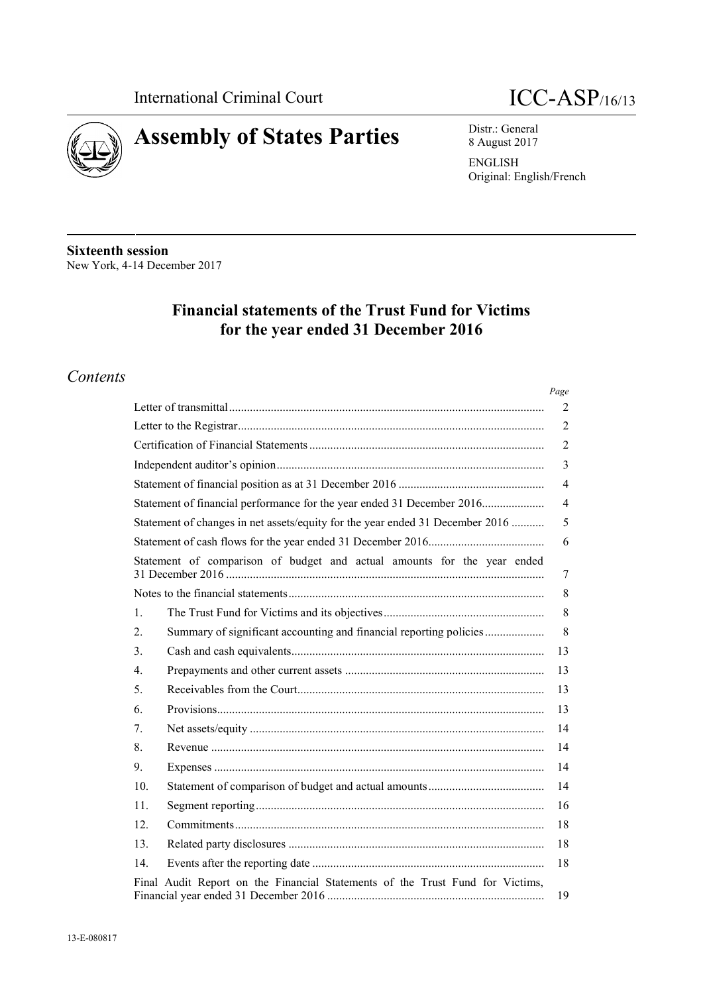



Distr.: General 8 August 2017

**ENGLISH** Original: English/French

**Sixteenth session** New York, 4-14 December 2017

# **Financial statements of the Trust Fund for Victims** for the year ended 31 December 2016

## Contents

|                                                                                        | Page           |
|----------------------------------------------------------------------------------------|----------------|
|                                                                                        | 2              |
|                                                                                        | $\overline{2}$ |
|                                                                                        | $\overline{2}$ |
|                                                                                        | 3              |
|                                                                                        | $\overline{4}$ |
| Statement of financial performance for the year ended 31 December 2016                 | $\overline{4}$ |
| Statement of changes in net assets/equity for the year ended 31 December 2016          | 5              |
|                                                                                        | 6              |
| Statement of comparison of budget and actual amounts for the year ended                | 7              |
|                                                                                        | 8              |
| $\mathbf{1}$ .                                                                         | 8              |
| Summary of significant accounting and financial reporting policies<br>$\overline{2}$ . | 8              |
| 3 <sub>1</sub>                                                                         | 13             |
| 4.                                                                                     | 13             |
| 5 <sub>1</sub>                                                                         | 13             |
| 6.                                                                                     | 13             |
| $7_{\cdot}$                                                                            | 14             |
| 8.                                                                                     | 14             |
| 9.                                                                                     | 14             |
| 10.                                                                                    | 14             |
| 11.                                                                                    | 16             |
| 12.                                                                                    | 18             |
| 13.                                                                                    | 18             |
| 14.                                                                                    | 18             |
| Final Audit Report on the Financial Statements of the Trust Fund for Victims,          | 19             |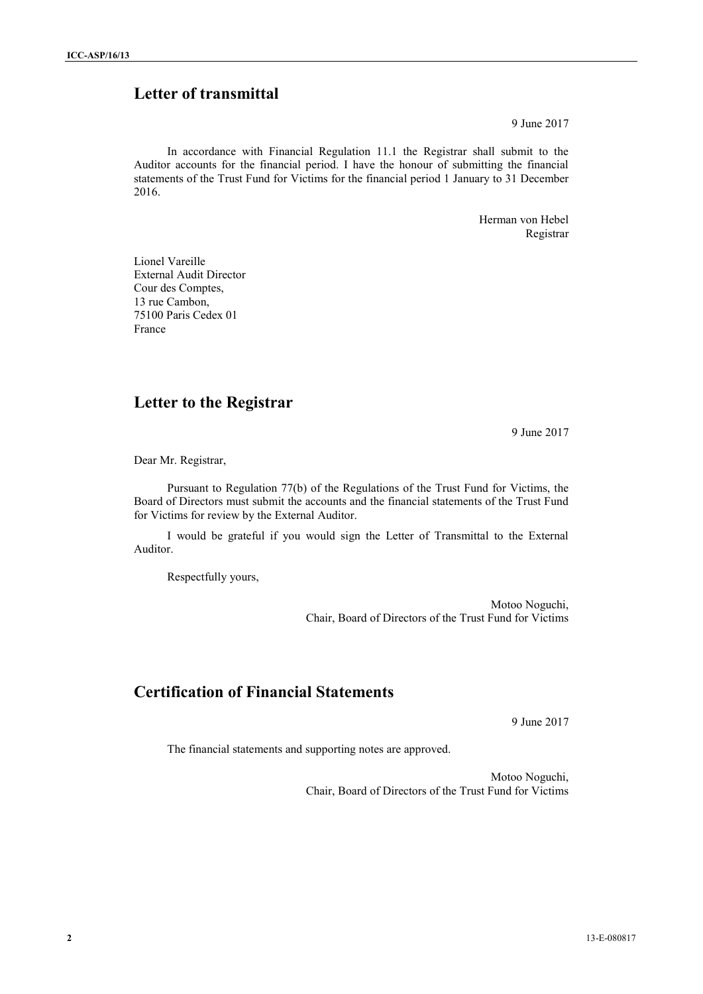# **Letter of transmittal**

9 June 2017

In accordance with Financial Regulation 11.1 the Registrar shall submit to the Auditor accounts for the financial period. I have the honour of submitting the financial statements of the Trust Fund for Victims for the financial period 1 January to 31 December 2016.

> Herman von Hebel Registrar

Lionel Vareille External Audit Director Cour des Comptes, 13 rue Cambon, 75100 Paris Cedex 01 France

## **Letter to the Registrar**

9 June 2017

Dear Mr. Registrar,

Pursuant to Regulation 77(b) of the Regulations of the Trust Fund for Victims, the Board of Directors must submit the accounts and the financial statements of the Trust Fund for Victims for review by the External Auditor.

I would be grateful if you would sign the Letter of Transmittal to the External Auditor.

Respectfully yours,

Motoo Noguchi, Chair, Board of Directors of the Trust Fund for Victims

# **Certification of Financial Statements**

9 June 2017

The financial statements and supporting notes are approved.

Motoo Noguchi, Chair, Board of Directors of the Trust Fund for Victims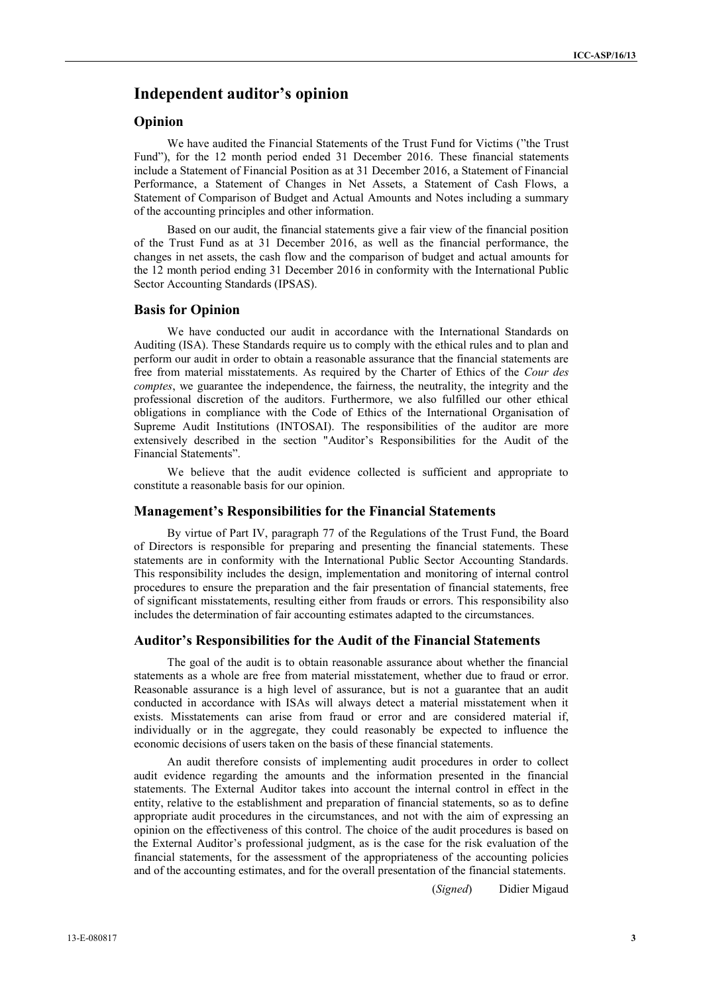### **Independent auditor's opinion**

### **Opinion**

We have audited the Financial Statements of the Trust Fund for Victims ("the Trust Fund"), for the 12 month period ended 31 December 2016. These financial statements include a Statement of Financial Position as at 31 December 2016, a Statement of Financial Performance, a Statement of Changes in Net Assets, a Statement of Cash Flows, a Statement of Comparison of Budget and Actual Amounts and Notes including a summary of the accounting principles and other information.

Based on our audit, the financial statements give a fair view of the financial position of the Trust Fund as at 31 December 2016, as well as the financial performance, the changes in net assets, the cash flow and the comparison of budget and actual amounts for the 12 month period ending 31 December 2016 in conformity with the International Public Sector Accounting Standards (IPSAS).

#### **Basis for Opinion**

We have conducted our audit in accordance with the International Standards on Auditing (ISA). These Standards require us to comply with the ethical rules and to plan and perform our audit in order to obtain a reasonable assurance that the financial statements are free from material misstatements. As required by the Charter of Ethics of the *Cour des comptes*, we guarantee the independence, the fairness, the neutrality, the integrity and the professional discretion of the auditors. Furthermore, we also fulfilled our other ethical obligations in compliance with the Code of Ethics of the International Organisation of Supreme Audit Institutions (INTOSAI). The responsibilities of the auditor are more extensively described in the section "Auditor's Responsibilities for the Audit of the Financial Statements".

We believe that the audit evidence collected is sufficient and appropriate to constitute a reasonable basis for our opinion.

### **Management's Responsibilities for the Financial Statements**

By virtue of Part IV, paragraph 77 of the Regulations of the Trust Fund, the Board of Directors is responsible for preparing and presenting the financial statements. These statements are in conformity with the International Public Sector Accounting Standards. This responsibility includes the design, implementation and monitoring of internal control procedures to ensure the preparation and the fair presentation of financial statements, free of significant misstatements, resulting either from frauds or errors. This responsibility also includes the determination of fair accounting estimates adapted to the circumstances.

#### **Auditor's Responsibilities for the Audit of the Financial Statements**

The goal of the audit is to obtain reasonable assurance about whether the financial statements as a whole are free from material misstatement, whether due to fraud or error. Reasonable assurance is a high level of assurance, but is not a guarantee that an audit conducted in accordance with ISAs will always detect a material misstatement when it exists. Misstatements can arise from fraud or error and are considered material if, individually or in the aggregate, they could reasonably be expected to influence the economic decisions of users taken on the basis of these financial statements.

An audit therefore consists of implementing audit procedures in order to collect audit evidence regarding the amounts and the information presented in the financial statements. The External Auditor takes into account the internal control in effect in the entity, relative to the establishment and preparation of financial statements, so as to define appropriate audit procedures in the circumstances, and not with the aim of expressing an opinion on the effectiveness of this control. The choice of the audit procedures is based on the External Auditor's professional judgment, as is the case for the risk evaluation of the financial statements, for the assessment of the appropriateness of the accounting policies and of the accounting estimates, and for the overall presentation of the financial statements.

(*Signed*) Didier Migaud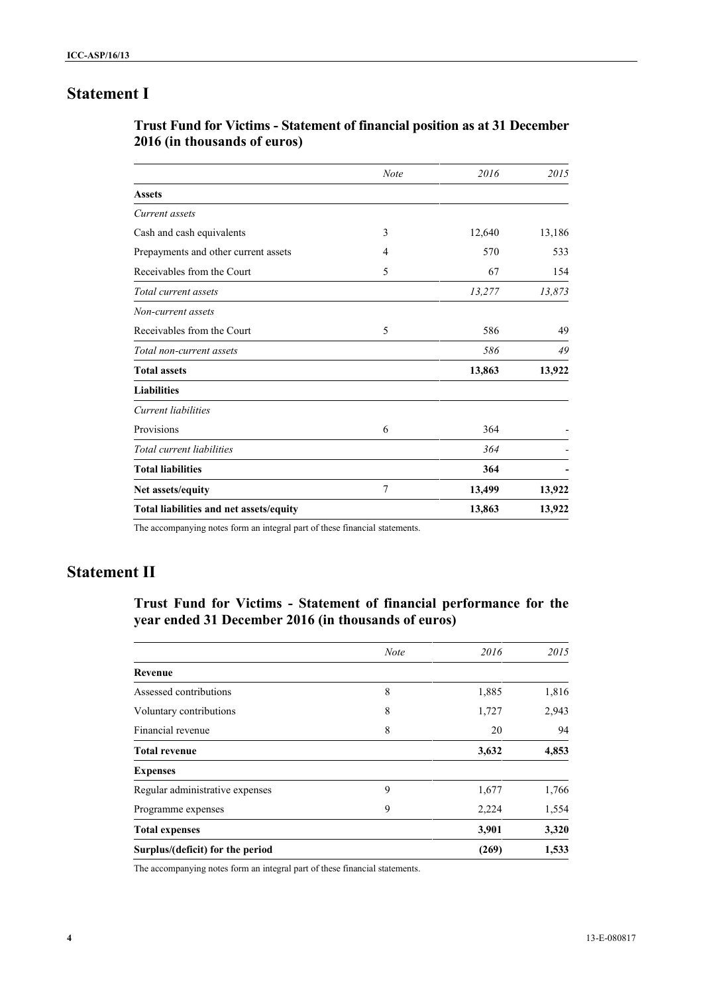# **Statement I**

| <b>Trust Fund for Victims - Statement of financial position as at 31 December</b> |  |
|-----------------------------------------------------------------------------------|--|
| 2016 (in thousands of euros)                                                      |  |

|                                         | <b>Note</b> | 2016   | 2015   |
|-----------------------------------------|-------------|--------|--------|
| <b>Assets</b>                           |             |        |        |
| Current assets                          |             |        |        |
| Cash and cash equivalents               | 3           | 12,640 | 13,186 |
| Prepayments and other current assets    | 4           | 570    | 533    |
| Receivables from the Court              | 5           | 67     | 154    |
| Total current assets                    |             | 13,277 | 13,873 |
| Non-current assets                      |             |        |        |
| Receivables from the Court              | 5           | 586    | 49     |
| Total non-current assets                |             | 586    | 49     |
| <b>Total assets</b>                     |             | 13,863 | 13,922 |
| <b>Liabilities</b>                      |             |        |        |
| Current liabilities                     |             |        |        |
| Provisions                              | 6           | 364    |        |
| Total current liabilities               |             | 364    |        |
| <b>Total liabilities</b>                |             | 364    |        |
| Net assets/equity                       | 7           | 13,499 | 13,922 |
| Total liabilities and net assets/equity |             | 13,863 | 13,922 |
|                                         |             |        |        |

The accompanying notes form an integral part of these financial statements.

## **Statement II**

**Trust Fund for Victims - Statement of financial performance for the year ended 31 December 2016 (in thousands of euros)**

|                                  | <b>Note</b> | 2016  | 2015  |
|----------------------------------|-------------|-------|-------|
| Revenue                          |             |       |       |
| Assessed contributions           | 8           | 1,885 | 1,816 |
| Voluntary contributions          | 8           | 1,727 | 2,943 |
| Financial revenue                | 8           | 20    | 94    |
| <b>Total revenue</b>             |             | 3,632 | 4,853 |
| <b>Expenses</b>                  |             |       |       |
| Regular administrative expenses  | 9           | 1,677 | 1,766 |
| Programme expenses               | 9           | 2,224 | 1,554 |
| <b>Total expenses</b>            |             | 3,901 | 3,320 |
| Surplus/(deficit) for the period |             | (269) | 1,533 |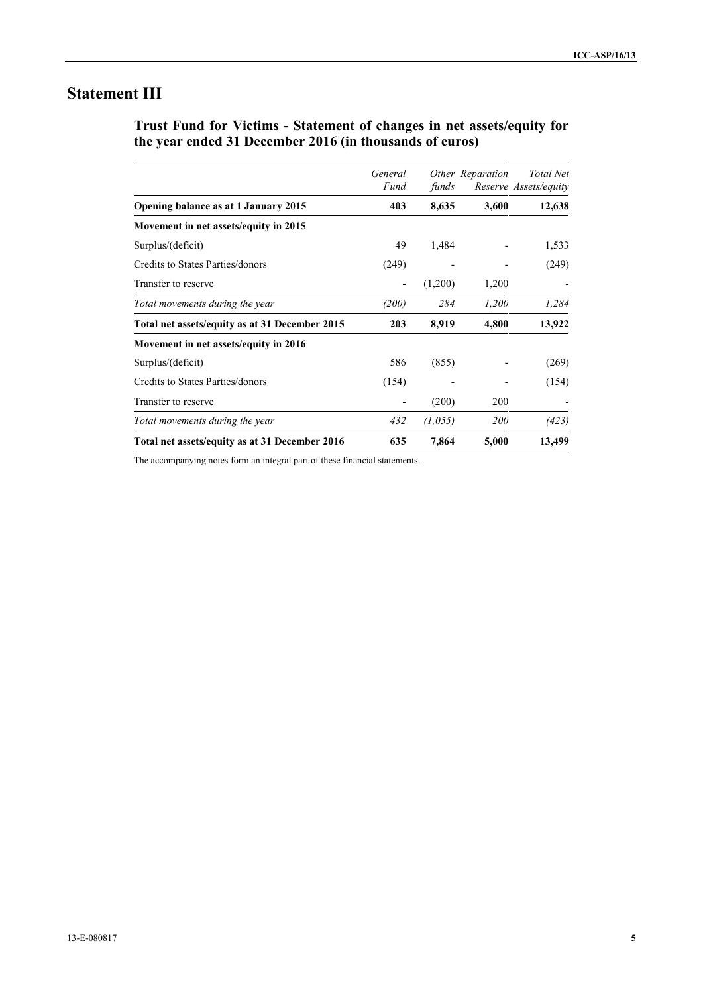# **Statement III**

**Trust Fund for Victims - Statement of changes in net assets/equity for the year ended 31 December 2016 (in thousands of euros)**

|                                                | General<br>Fund | funds   | Other Reparation | <b>Total Net</b><br>Reserve Assets/equity |
|------------------------------------------------|-----------------|---------|------------------|-------------------------------------------|
| Opening balance as at 1 January 2015           | 403             | 8,635   | 3,600            | 12,638                                    |
| Movement in net assets/equity in 2015          |                 |         |                  |                                           |
| Surplus/(deficit)                              | 49              | 1,484   |                  | 1,533                                     |
| Credits to States Parties/donors               | (249)           |         |                  | (249)                                     |
| Transfer to reserve                            | -               | (1,200) | 1,200            |                                           |
| Total movements during the year                | (200)           | 284     | 1,200            | 1,284                                     |
| Total net assets/equity as at 31 December 2015 | 203             | 8,919   | 4,800            | 13,922                                    |
| Movement in net assets/equity in 2016          |                 |         |                  |                                           |
| Surplus/(deficit)                              | 586             | (855)   |                  | (269)                                     |
| Credits to States Parties/donors               | (154)           |         |                  | (154)                                     |
| Transfer to reserve                            |                 | (200)   | 200              |                                           |
| Total movements during the year                | 432             | (1,055) | <i>200</i>       | (423)                                     |
| Total net assets/equity as at 31 December 2016 | 635             | 7,864   | 5,000            | 13,499                                    |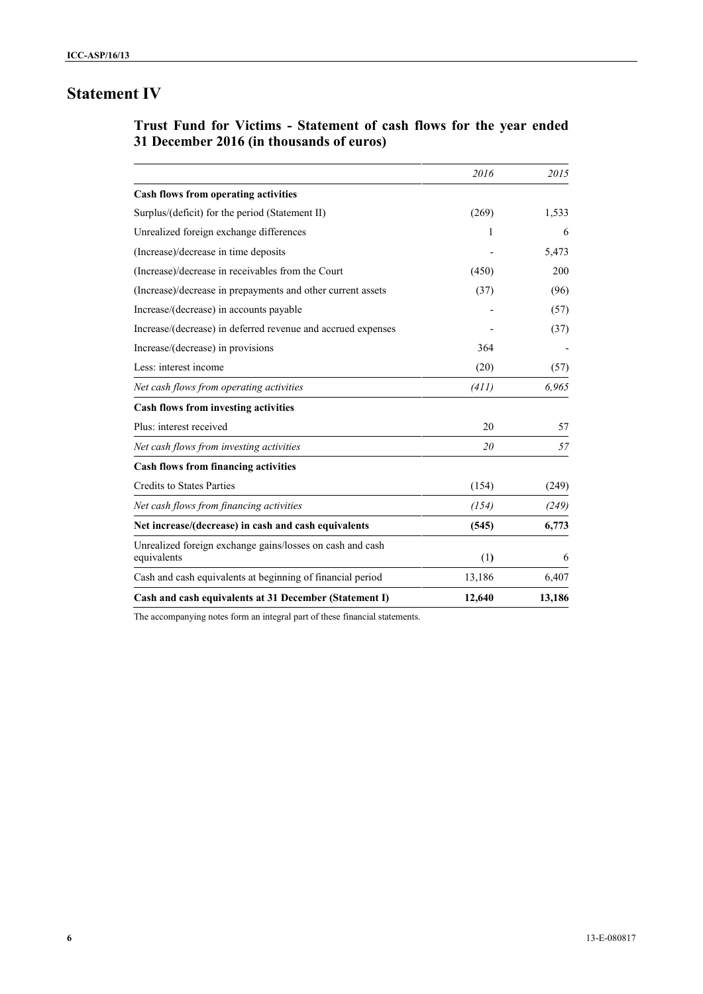# **Statement IV**

## **Trust Fund for Victims - Statement of cash flows for the year ended 31 December 2016 (in thousands of euros)**

|                                                              | 2016   | 2015   |
|--------------------------------------------------------------|--------|--------|
| <b>Cash flows from operating activities</b>                  |        |        |
| Surplus/(deficit) for the period (Statement II)              | (269)  | 1,533  |
| Unrealized foreign exchange differences                      | 1      | 6      |
| (Increase)/decrease in time deposits                         |        | 5,473  |
| (Increase)/decrease in receivables from the Court            | (450)  | 200    |
| (Increase)/decrease in prepayments and other current assets  | (37)   | (96)   |
| Increase/(decrease) in accounts payable                      |        | (57)   |
| Increase/(decrease) in deferred revenue and accrued expenses |        | (37)   |
| Increase/(decrease) in provisions                            | 364    |        |
| Less: interest income                                        | (20)   | (57)   |
| Net cash flows from operating activities                     | (411)  | 6,965  |
| Cash flows from investing activities                         |        |        |
| Plus: interest received                                      | 20     | 57     |
| Net cash flows from investing activities                     | 20     | 57     |
| <b>Cash flows from financing activities</b>                  |        |        |
| <b>Credits to States Parties</b>                             | (154)  | (249)  |
| Net cash flows from financing activities                     | (154)  | (249)  |
| Net increase/(decrease) in cash and cash equivalents         | (545)  | 6,773  |
| Unrealized foreign exchange gains/losses on cash and cash    |        |        |
| equivalents                                                  | (1)    | 6      |
| Cash and cash equivalents at beginning of financial period   | 13,186 | 6,407  |
| Cash and cash equivalents at 31 December (Statement I)       | 12,640 | 13,186 |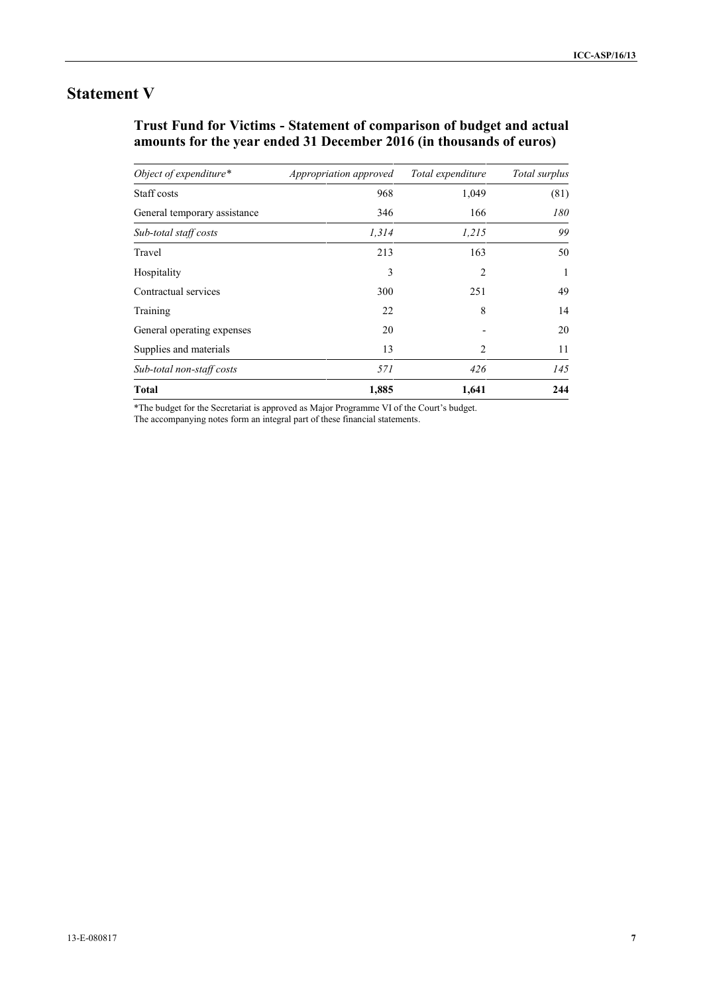# **Statement V**

## **Trust Fund for Victims - Statement of comparison of budget and actual amounts for the year ended 31 December 2016 (in thousands of euros)**

| Object of expenditure*       | Appropriation approved | Total expenditure | Total surplus |
|------------------------------|------------------------|-------------------|---------------|
| Staff costs                  | 968                    | 1,049             | (81)          |
| General temporary assistance | 346                    | 166               | 180           |
| Sub-total staff costs        | 1,314                  | 1,215             | 99            |
| Travel                       | 213                    | 163               | 50            |
| Hospitality                  | 3                      | $\overline{c}$    | 1             |
| Contractual services         | 300                    | 251               | 49            |
| Training                     | 22                     | 8                 | 14            |
| General operating expenses   | 20                     |                   | 20            |
| Supplies and materials       | 13                     | $\mathfrak{D}$    | 11            |
| Sub-total non-staff costs    | 571                    | 426               | 145           |
| <b>Total</b>                 | 1,885                  | 1,641             | 244           |

\*The budget for the Secretariat is approved as Major Programme VI of the Court's budget.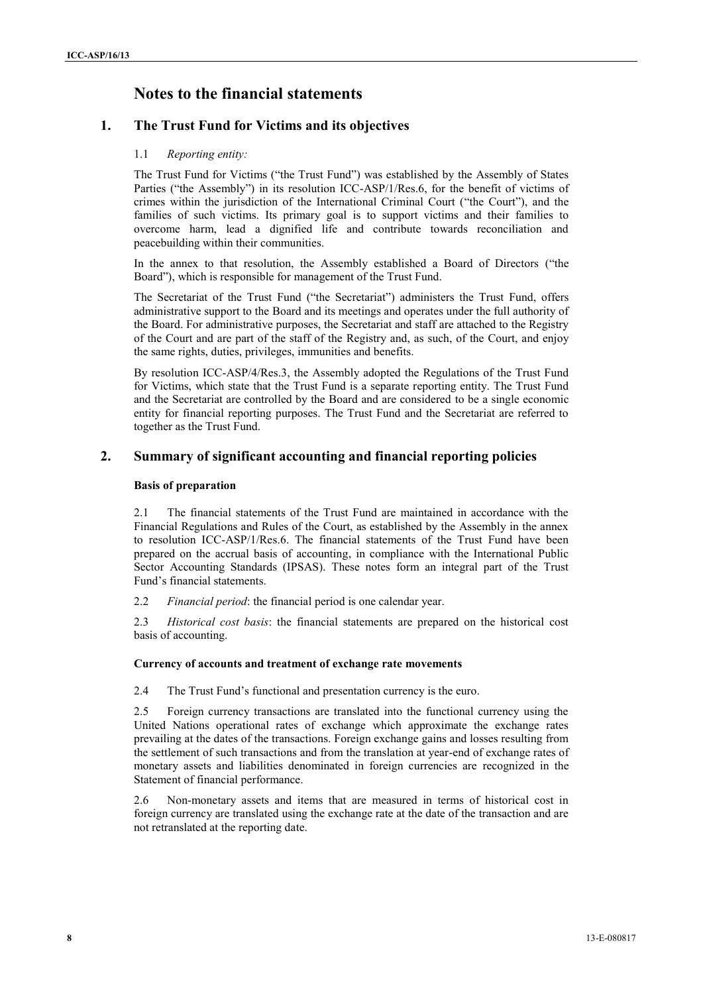## **Notes to the financial statements**

### **1. The Trust Fund for Victims and its objectives**

#### 1.1 *Reporting entity:*

The Trust Fund for Victims ("the Trust Fund") was established by the Assembly of States Parties ("the Assembly") in its resolution ICC-ASP/1/Res.6, for the benefit of victims of crimes within the jurisdiction of the International Criminal Court ("the Court"), and the families of such victims. Its primary goal is to support victims and their families to overcome harm, lead a dignified life and contribute towards reconciliation and peacebuilding within their communities.

In the annex to that resolution, the Assembly established a Board of Directors ("the Board"), which is responsible for management of the Trust Fund.

The Secretariat of the Trust Fund ("the Secretariat") administers the Trust Fund, offers administrative support to the Board and its meetings and operates under the full authority of the Board. For administrative purposes, the Secretariat and staff are attached to the Registry of the Court and are part of the staff of the Registry and, as such, of the Court, and enjoy the same rights, duties, privileges, immunities and benefits.

By resolution ICC-ASP/4/Res.3, the Assembly adopted the Regulations of the Trust Fund for Victims, which state that the Trust Fund is a separate reporting entity. The Trust Fund and the Secretariat are controlled by the Board and are considered to be a single economic entity for financial reporting purposes. The Trust Fund and the Secretariat are referred to together as the Trust Fund.

### **2. Summary of significant accounting and financial reporting policies**

#### **Basis of preparation**

2.1 The financial statements of the Trust Fund are maintained in accordance with the Financial Regulations and Rules of the Court, as established by the Assembly in the annex to resolution ICC-ASP/1/Res.6. The financial statements of the Trust Fund have been prepared on the accrual basis of accounting, in compliance with the International Public Sector Accounting Standards (IPSAS). These notes form an integral part of the Trust Fund's financial statements.

2.2 *Financial period*: the financial period is one calendar year.

2.3 *Historical cost basis*: the financial statements are prepared on the historical cost basis of accounting.

#### **Currency of accounts and treatment of exchange rate movements**

2.4 The Trust Fund's functional and presentation currency is the euro.

2.5 Foreign currency transactions are translated into the functional currency using the United Nations operational rates of exchange which approximate the exchange rates prevailing at the dates of the transactions. Foreign exchange gains and losses resulting from the settlement of such transactions and from the translation at year-end of exchange rates of monetary assets and liabilities denominated in foreign currencies are recognized in the Statement of financial performance.

2.6 Non-monetary assets and items that are measured in terms of historical cost in foreign currency are translated using the exchange rate at the date of the transaction and are not retranslated at the reporting date.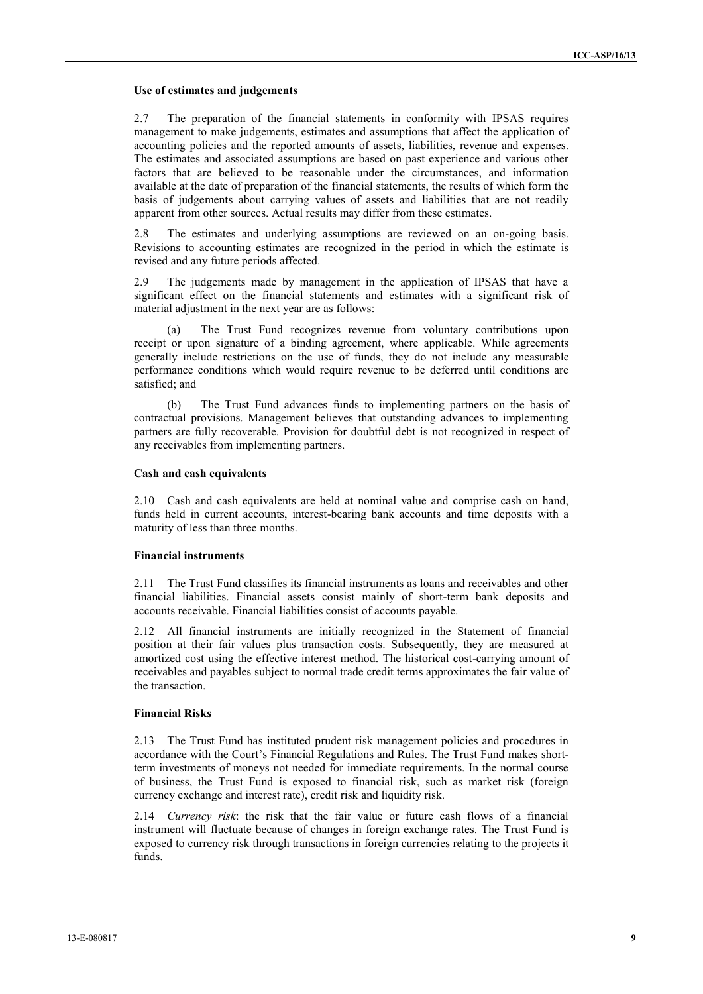#### **Use of estimates and judgements**

2.7 The preparation of the financial statements in conformity with IPSAS requires management to make judgements, estimates and assumptions that affect the application of accounting policies and the reported amounts of assets, liabilities, revenue and expenses. The estimates and associated assumptions are based on past experience and various other factors that are believed to be reasonable under the circumstances, and information available at the date of preparation of the financial statements, the results of which form the basis of judgements about carrying values of assets and liabilities that are not readily apparent from other sources. Actual results may differ from these estimates.

2.8 The estimates and underlying assumptions are reviewed on an on-going basis. Revisions to accounting estimates are recognized in the period in which the estimate is revised and any future periods affected.

2.9 The judgements made by management in the application of IPSAS that have a significant effect on the financial statements and estimates with a significant risk of material adjustment in the next year are as follows:

(a) The Trust Fund recognizes revenue from voluntary contributions upon receipt or upon signature of a binding agreement, where applicable. While agreements generally include restrictions on the use of funds, they do not include any measurable performance conditions which would require revenue to be deferred until conditions are satisfied; and

(b) The Trust Fund advances funds to implementing partners on the basis of contractual provisions. Management believes that outstanding advances to implementing partners are fully recoverable. Provision for doubtful debt is not recognized in respect of any receivables from implementing partners.

#### **Cash and cash equivalents**

2.10 Cash and cash equivalents are held at nominal value and comprise cash on hand, funds held in current accounts, interest-bearing bank accounts and time deposits with a maturity of less than three months.

#### **Financial instruments**

2.11 The Trust Fund classifies its financial instruments as loans and receivables and other financial liabilities. Financial assets consist mainly of short-term bank deposits and accounts receivable. Financial liabilities consist of accounts payable.

2.12 All financial instruments are initially recognized in the Statement of financial position at their fair values plus transaction costs. Subsequently, they are measured at amortized cost using the effective interest method. The historical cost-carrying amount of receivables and payables subject to normal trade credit terms approximates the fair value of the transaction.

#### **Financial Risks**

2.13 The Trust Fund has instituted prudent risk management policies and procedures in accordance with the Court's Financial Regulations and Rules. The Trust Fund makes shortterm investments of moneys not needed for immediate requirements. In the normal course of business, the Trust Fund is exposed to financial risk, such as market risk (foreign currency exchange and interest rate), credit risk and liquidity risk.

2.14 *Currency risk*: the risk that the fair value or future cash flows of a financial instrument will fluctuate because of changes in foreign exchange rates. The Trust Fund is exposed to currency risk through transactions in foreign currencies relating to the projects it funds.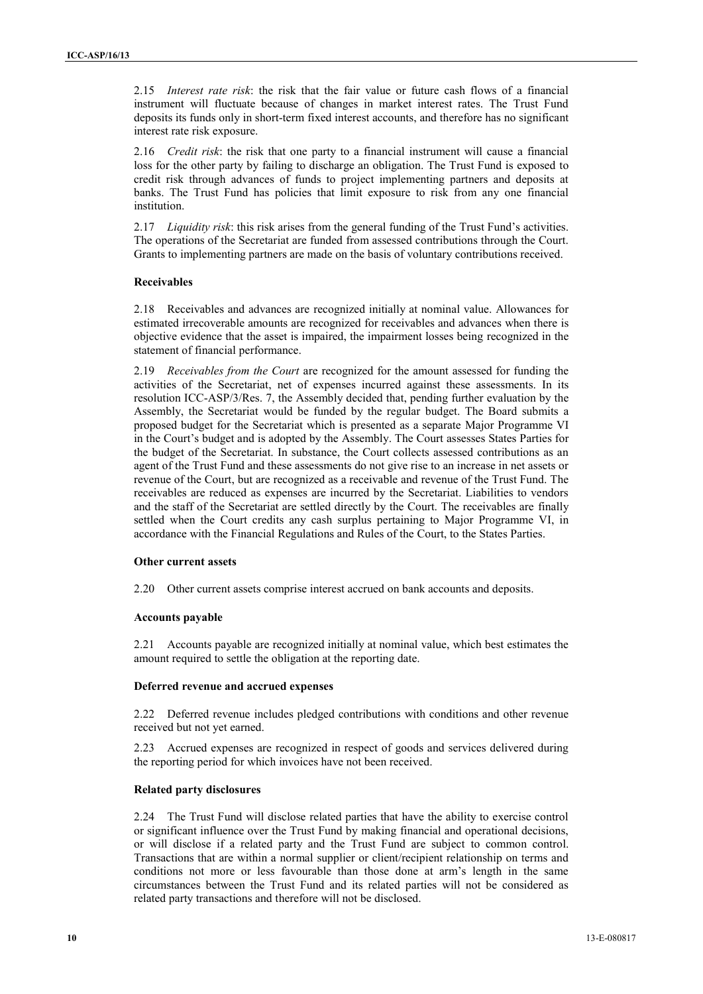2.15 *Interest rate risk*: the risk that the fair value or future cash flows of a financial instrument will fluctuate because of changes in market interest rates. The Trust Fund deposits its funds only in short-term fixed interest accounts, and therefore has no significant interest rate risk exposure.

2.16 *Credit risk*: the risk that one party to a financial instrument will cause a financial loss for the other party by failing to discharge an obligation. The Trust Fund is exposed to credit risk through advances of funds to project implementing partners and deposits at banks. The Trust Fund has policies that limit exposure to risk from any one financial institution.

2.17 *Liquidity risk*: this risk arises from the general funding of the Trust Fund's activities. The operations of the Secretariat are funded from assessed contributions through the Court. Grants to implementing partners are made on the basis of voluntary contributions received.

#### **Receivables**

2.18 Receivables and advances are recognized initially at nominal value. Allowances for estimated irrecoverable amounts are recognized for receivables and advances when there is objective evidence that the asset is impaired, the impairment losses being recognized in the statement of financial performance.

2.19 *Receivables from the Court* are recognized for the amount assessed for funding the activities of the Secretariat, net of expenses incurred against these assessments. In its resolution ICC-ASP/3/Res. 7, the Assembly decided that, pending further evaluation by the Assembly, the Secretariat would be funded by the regular budget. The Board submits a proposed budget for the Secretariat which is presented as a separate Major Programme VI in the Court's budget and is adopted by the Assembly. The Court assesses States Parties for the budget of the Secretariat. In substance, the Court collects assessed contributions as an agent of the Trust Fund and these assessments do not give rise to an increase in net assets or revenue of the Court, but are recognized as a receivable and revenue of the Trust Fund. The receivables are reduced as expenses are incurred by the Secretariat. Liabilities to vendors and the staff of the Secretariat are settled directly by the Court. The receivables are finally settled when the Court credits any cash surplus pertaining to Major Programme VI, in accordance with the Financial Regulations and Rules of the Court, to the States Parties.

#### **Other current assets**

2.20 Other current assets comprise interest accrued on bank accounts and deposits.

#### **Accounts payable**

2.21 Accounts payable are recognized initially at nominal value, which best estimates the amount required to settle the obligation at the reporting date.

#### **Deferred revenue and accrued expenses**

2.22 Deferred revenue includes pledged contributions with conditions and other revenue received but not yet earned.

2.23 Accrued expenses are recognized in respect of goods and services delivered during the reporting period for which invoices have not been received.

#### **Related party disclosures**

2.24 The Trust Fund will disclose related parties that have the ability to exercise control or significant influence over the Trust Fund by making financial and operational decisions, or will disclose if a related party and the Trust Fund are subject to common control. Transactions that are within a normal supplier or client/recipient relationship on terms and conditions not more or less favourable than those done at arm's length in the same circumstances between the Trust Fund and its related parties will not be considered as related party transactions and therefore will not be disclosed.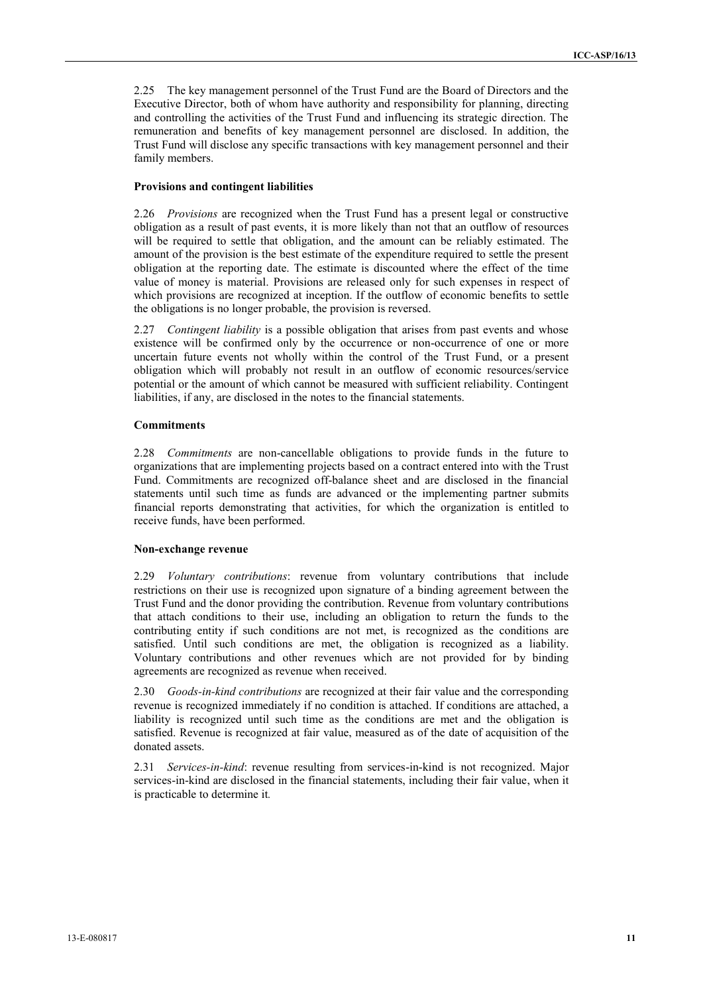2.25 The key management personnel of the Trust Fund are the Board of Directors and the Executive Director, both of whom have authority and responsibility for planning, directing and controlling the activities of the Trust Fund and influencing its strategic direction. The remuneration and benefits of key management personnel are disclosed. In addition, the Trust Fund will disclose any specific transactions with key management personnel and their family members.

#### **Provisions and contingent liabilities**

2.26 *Provisions* are recognized when the Trust Fund has a present legal or constructive obligation as a result of past events, it is more likely than not that an outflow of resources will be required to settle that obligation, and the amount can be reliably estimated. The amount of the provision is the best estimate of the expenditure required to settle the present obligation at the reporting date. The estimate is discounted where the effect of the time value of money is material. Provisions are released only for such expenses in respect of which provisions are recognized at inception. If the outflow of economic benefits to settle the obligations is no longer probable, the provision is reversed.

2.27 *Contingent liability* is a possible obligation that arises from past events and whose existence will be confirmed only by the occurrence or non-occurrence of one or more uncertain future events not wholly within the control of the Trust Fund, or a present obligation which will probably not result in an outflow of economic resources/service potential or the amount of which cannot be measured with sufficient reliability. Contingent liabilities, if any, are disclosed in the notes to the financial statements.

#### **Commitments**

2.28 *Commitments* are non-cancellable obligations to provide funds in the future to organizations that are implementing projects based on a contract entered into with the Trust Fund. Commitments are recognized off-balance sheet and are disclosed in the financial statements until such time as funds are advanced or the implementing partner submits financial reports demonstrating that activities, for which the organization is entitled to receive funds, have been performed.

#### **Non-exchange revenue**

2.29 *Voluntary contributions*: revenue from voluntary contributions that include restrictions on their use is recognized upon signature of a binding agreement between the Trust Fund and the donor providing the contribution. Revenue from voluntary contributions that attach conditions to their use, including an obligation to return the funds to the contributing entity if such conditions are not met, is recognized as the conditions are satisfied. Until such conditions are met, the obligation is recognized as a liability. Voluntary contributions and other revenues which are not provided for by binding agreements are recognized as revenue when received.

2.30 *Goods-in-kind contributions* are recognized at their fair value and the corresponding revenue is recognized immediately if no condition is attached. If conditions are attached, a liability is recognized until such time as the conditions are met and the obligation is satisfied. Revenue is recognized at fair value, measured as of the date of acquisition of the donated assets.

2.31 *Services-in-kind*: revenue resulting from services-in-kind is not recognized. Major services-in-kind are disclosed in the financial statements, including their fair value, when it is practicable to determine it*.*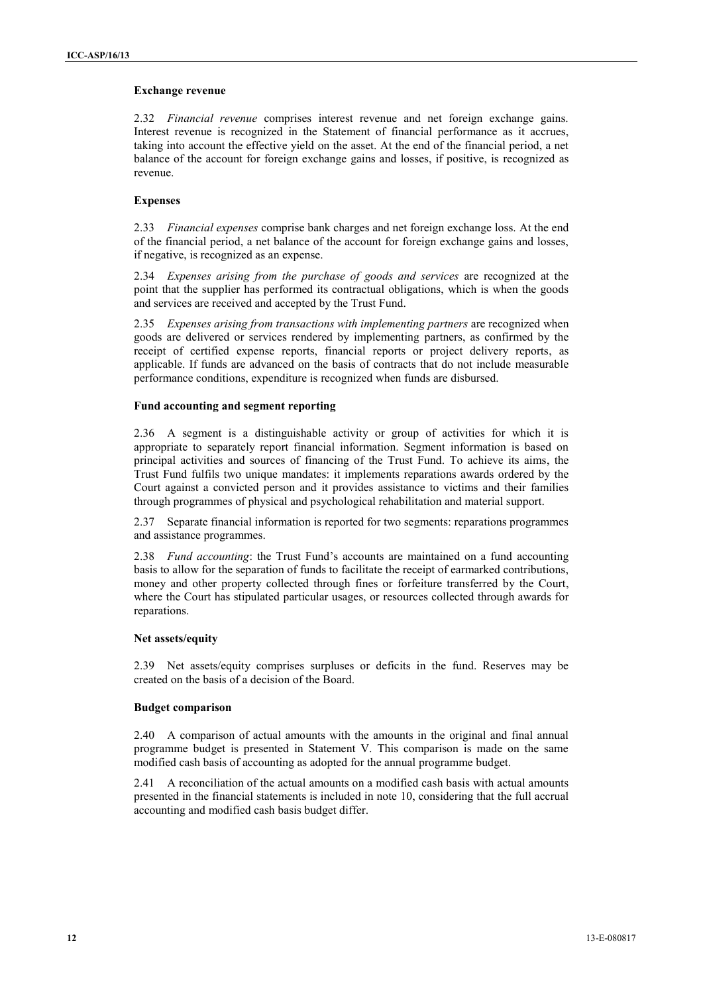#### **Exchange revenue**

2.32 *Financial revenue* comprises interest revenue and net foreign exchange gains. Interest revenue is recognized in the Statement of financial performance as it accrues, taking into account the effective yield on the asset. At the end of the financial period, a net balance of the account for foreign exchange gains and losses, if positive, is recognized as revenue.

#### **Expenses**

2.33 *Financial expenses* comprise bank charges and net foreign exchange loss. At the end of the financial period, a net balance of the account for foreign exchange gains and losses, if negative, is recognized as an expense.

2.34 *Expenses arising from the purchase of goods and services* are recognized at the point that the supplier has performed its contractual obligations, which is when the goods and services are received and accepted by the Trust Fund.

2.35 *Expenses arising from transactions with implementing partners* are recognized when goods are delivered or services rendered by implementing partners, as confirmed by the receipt of certified expense reports, financial reports or project delivery reports, as applicable. If funds are advanced on the basis of contracts that do not include measurable performance conditions, expenditure is recognized when funds are disbursed.

#### **Fund accounting and segment reporting**

2.36 A segment is a distinguishable activity or group of activities for which it is appropriate to separately report financial information. Segment information is based on principal activities and sources of financing of the Trust Fund. To achieve its aims, the Trust Fund fulfils two unique mandates: it implements reparations awards ordered by the Court against a convicted person and it provides assistance to victims and their families through programmes of physical and psychological rehabilitation and material support.

2.37 Separate financial information is reported for two segments: reparations programmes and assistance programmes.

2.38 *Fund accounting*: the Trust Fund's accounts are maintained on a fund accounting basis to allow for the separation of funds to facilitate the receipt of earmarked contributions, money and other property collected through fines or forfeiture transferred by the Court, where the Court has stipulated particular usages, or resources collected through awards for reparations.

#### **Net assets/equity**

2.39 Net assets/equity comprises surpluses or deficits in the fund. Reserves may be created on the basis of a decision of the Board.

#### **Budget comparison**

2.40 A comparison of actual amounts with the amounts in the original and final annual programme budget is presented in Statement V. This comparison is made on the same modified cash basis of accounting as adopted for the annual programme budget.

2.41 A reconciliation of the actual amounts on a modified cash basis with actual amounts presented in the financial statements is included in note 10, considering that the full accrual accounting and modified cash basis budget differ.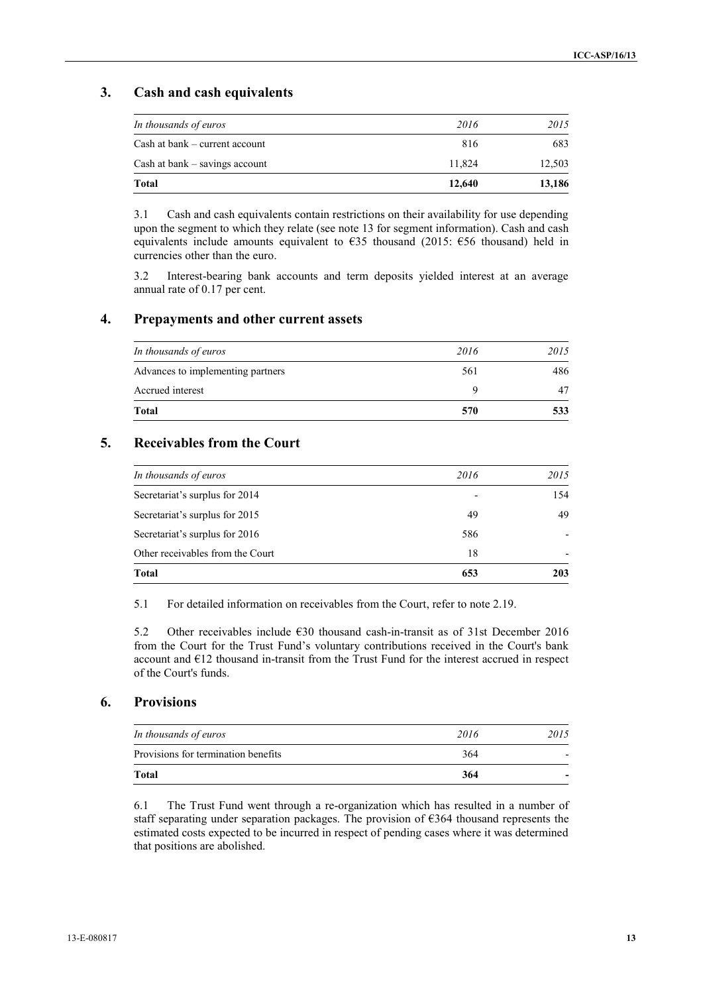### **3. Cash and cash equivalents**

| Cash at bank – current account<br>Cash at bank $-$ savings account | 816<br>11.824 | 683<br>12,503 |
|--------------------------------------------------------------------|---------------|---------------|
|                                                                    |               |               |
| Total                                                              | 12,640        | 13,186        |

3.1 Cash and cash equivalents contain restrictions on their availability for use depending upon the segment to which they relate (see note 13 for segment information). Cash and cash equivalents include amounts equivalent to  $\epsilon$ 35 thousand (2015:  $\epsilon$ 56 thousand) held in currencies other than the euro.

3.2 Interest-bearing bank accounts and term deposits yielded interest at an average annual rate of 0.17 per cent.

### **4. Prepayments and other current assets**

| 2016 | 2015 |
|------|------|
| 561  | 486  |
| Q    | 47   |
| 570  | 533  |
|      |      |

### **5. Receivables from the Court**

| In thousands of euros            | 2016                     | 2015                     |
|----------------------------------|--------------------------|--------------------------|
| Secretariat's surplus for 2014   | $\overline{\phantom{a}}$ | 154                      |
| Secretariat's surplus for 2015   | 49                       | 49                       |
| Secretariat's surplus for 2016   | 586                      | $\overline{\phantom{0}}$ |
| Other receivables from the Court | 18                       | $\overline{\phantom{0}}$ |
| Total                            | 653                      | 203                      |

5.1 For detailed information on receivables from the Court, refer to note 2.19.

5.2 Other receivables include  $\epsilon$ 30 thousand cash-in-transit as of 31st December 2016 from the Court for the Trust Fund's voluntary contributions received in the Court's bank account and €12 thousand in-transit from the Trust Fund for the interest accrued in respect of the Court's funds.

#### **6. Provisions**

| <b>Total</b>                        | 364  | $\overline{\phantom{0}}$ |
|-------------------------------------|------|--------------------------|
| Provisions for termination benefits | 364  | $\overline{\phantom{0}}$ |
| In thousands of euros               | 2016 | 2015                     |

6.1 The Trust Fund went through a re-organization which has resulted in a number of staff separating under separation packages. The provision of  $\epsilon$ 364 thousand represents the estimated costs expected to be incurred in respect of pending cases where it was determined that positions are abolished.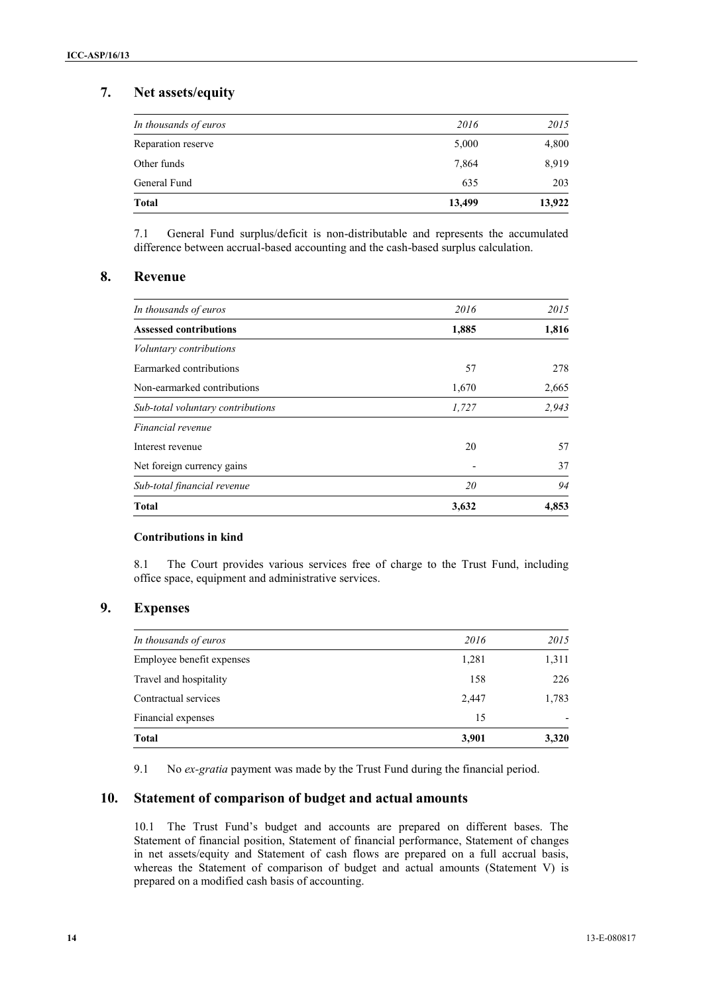## **7. Net assets/equity**

| General Fund          | 635   | 203   |
|-----------------------|-------|-------|
| Other funds           | 7,864 | 8,919 |
| Reparation reserve    | 5,000 | 4,800 |
| In thousands of euros | 2016  | 2015  |

7.1 General Fund surplus/deficit is non-distributable and represents the accumulated difference between accrual-based accounting and the cash-based surplus calculation.

### **8. Revenue**

| 20    | 94    |
|-------|-------|
|       | 37    |
| 20    | 57    |
|       |       |
| 1,727 | 2,943 |
| 1,670 | 2,665 |
| 57    | 278   |
|       |       |
| 1,885 | 1,816 |
| 2016  | 2015  |
|       |       |

#### **Contributions in kind**

8.1 The Court provides various services free of charge to the Trust Fund, including office space, equipment and administrative services.

### **9. Expenses**

| <b>Total</b>              | 3,901 | 3,320                    |
|---------------------------|-------|--------------------------|
| Financial expenses        | 15    | $\overline{\phantom{a}}$ |
| Contractual services      | 2,447 | 1,783                    |
| Travel and hospitality    | 158   | 226                      |
| Employee benefit expenses | 1,281 | 1,311                    |
| In thousands of euros     | 2016  | 2015                     |
|                           |       |                          |

9.1 No *ex-gratia* payment was made by the Trust Fund during the financial period.

### **10. Statement of comparison of budget and actual amounts**

10.1 The Trust Fund's budget and accounts are prepared on different bases. The Statement of financial position, Statement of financial performance, Statement of changes in net assets/equity and Statement of cash flows are prepared on a full accrual basis, whereas the Statement of comparison of budget and actual amounts (Statement V) is prepared on a modified cash basis of accounting.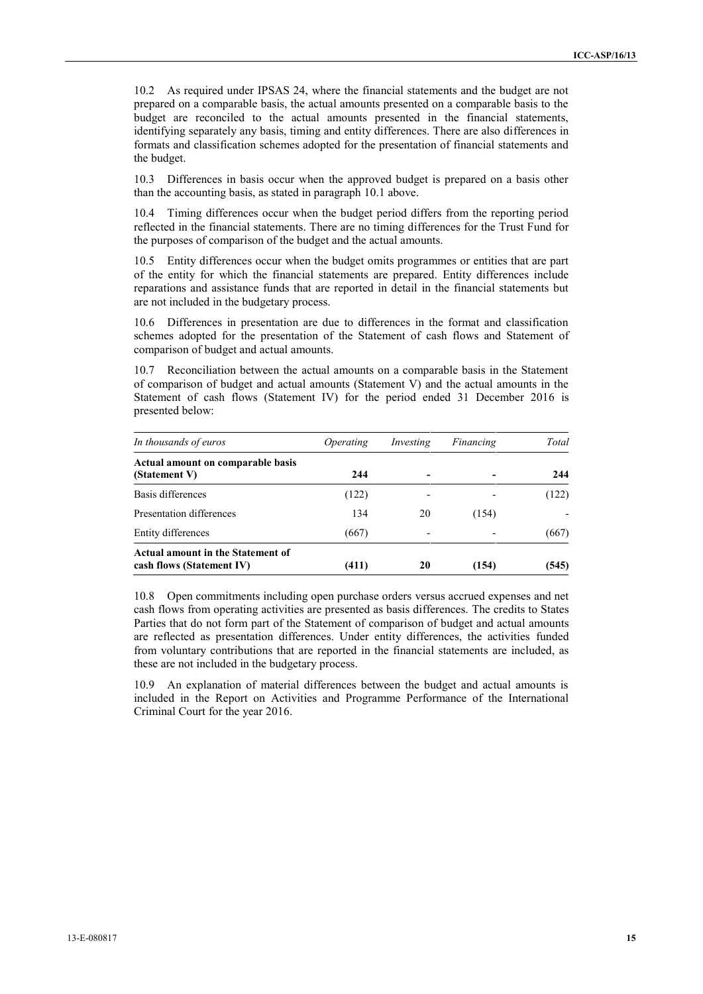10.2 As required under IPSAS 24, where the financial statements and the budget are not prepared on a comparable basis, the actual amounts presented on a comparable basis to the budget are reconciled to the actual amounts presented in the financial statements, identifying separately any basis, timing and entity differences. There are also differences in formats and classification schemes adopted for the presentation of financial statements and the budget.

10.3 Differences in basis occur when the approved budget is prepared on a basis other than the accounting basis, as stated in paragraph 10.1 above.

10.4 Timing differences occur when the budget period differs from the reporting period reflected in the financial statements. There are no timing differences for the Trust Fund for the purposes of comparison of the budget and the actual amounts.

10.5 Entity differences occur when the budget omits programmes or entities that are part of the entity for which the financial statements are prepared. Entity differences include reparations and assistance funds that are reported in detail in the financial statements but are not included in the budgetary process.

10.6 Differences in presentation are due to differences in the format and classification schemes adopted for the presentation of the Statement of cash flows and Statement of comparison of budget and actual amounts.

10.7 Reconciliation between the actual amounts on a comparable basis in the Statement of comparison of budget and actual amounts (Statement V) and the actual amounts in the Statement of cash flows (Statement IV) for the period ended 31 December 2016 is presented below:

| In thousands of euros                                          | <i>Operating</i> | Investing | Financing | Total |  |
|----------------------------------------------------------------|------------------|-----------|-----------|-------|--|
| Actual amount on comparable basis<br>(Statement V)             | 244              |           |           | 244   |  |
| Basis differences                                              | (122)            |           |           | (122) |  |
| Presentation differences                                       | 134              | 20        | (154)     |       |  |
| Entity differences                                             | (667)            |           |           | (667) |  |
| Actual amount in the Statement of<br>cash flows (Statement IV) | (411)            | 20        | (154)     | (545) |  |

10.8 Open commitments including open purchase orders versus accrued expenses and net cash flows from operating activities are presented as basis differences. The credits to States Parties that do not form part of the Statement of comparison of budget and actual amounts are reflected as presentation differences. Under entity differences, the activities funded from voluntary contributions that are reported in the financial statements are included, as these are not included in the budgetary process.

10.9 An explanation of material differences between the budget and actual amounts is included in the Report on Activities and Programme Performance of the International Criminal Court for the year 2016.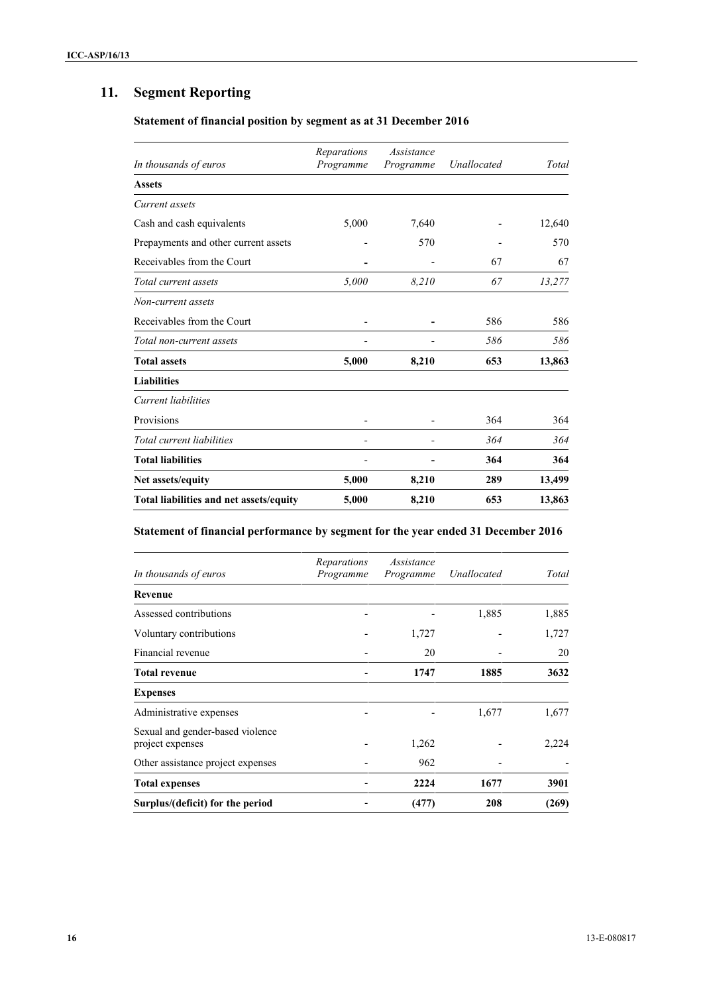# **11. Segment Reporting**

### **Statement of financial position by segment as at 31 December 2016**

| In thousands of euros                   | Reparations<br>Programme | Assistance<br>Programme | Unallocated | Total  |
|-----------------------------------------|--------------------------|-------------------------|-------------|--------|
| <b>Assets</b>                           |                          |                         |             |        |
| Current assets                          |                          |                         |             |        |
| Cash and cash equivalents               | 5,000                    | 7,640                   |             | 12,640 |
| Prepayments and other current assets    |                          | 570                     |             | 570    |
| Receivables from the Court              |                          |                         | 67          | 67     |
| Total current assets                    | 5,000                    | 8.210                   | 67          | 13,277 |
| Non-current assets                      |                          |                         |             |        |
| Receivables from the Court              |                          |                         | 586         | 586    |
| Total non-current assets                |                          |                         | 586         | 586    |
| <b>Total assets</b>                     | 5,000                    | 8,210                   | 653         | 13,863 |
| <b>Liabilities</b>                      |                          |                         |             |        |
| Current liabilities                     |                          |                         |             |        |
| Provisions                              |                          |                         | 364         | 364    |
| Total current liabilities               |                          |                         | 364         | 364    |
| <b>Total liabilities</b>                |                          |                         | 364         | 364    |
| Net assets/equity                       | 5,000                    | 8,210                   | 289         | 13,499 |
| Total liabilities and net assets/equity | 5,000                    | 8,210                   | 653         | 13,863 |

## **Statement of financial performance by segment for the year ended 31 December 2016**

| In thousands of euros                                | Reparations<br>Programme | Assistance<br>Programme | Unallocated | Total |
|------------------------------------------------------|--------------------------|-------------------------|-------------|-------|
| Revenue                                              |                          |                         |             |       |
| Assessed contributions                               |                          |                         | 1,885       | 1,885 |
| Voluntary contributions                              |                          | 1,727                   |             | 1,727 |
| Financial revenue                                    |                          | 20                      |             | 20    |
| <b>Total revenue</b>                                 |                          | 1747                    | 1885        | 3632  |
| <b>Expenses</b>                                      |                          |                         |             |       |
| Administrative expenses                              |                          |                         | 1,677       | 1,677 |
| Sexual and gender-based violence<br>project expenses |                          | 1,262                   |             | 2,224 |
| Other assistance project expenses                    |                          | 962                     |             |       |
| <b>Total expenses</b>                                |                          | 2224                    | 1677        | 3901  |
| Surplus/(deficit) for the period                     |                          | (477)                   | 208         | (269) |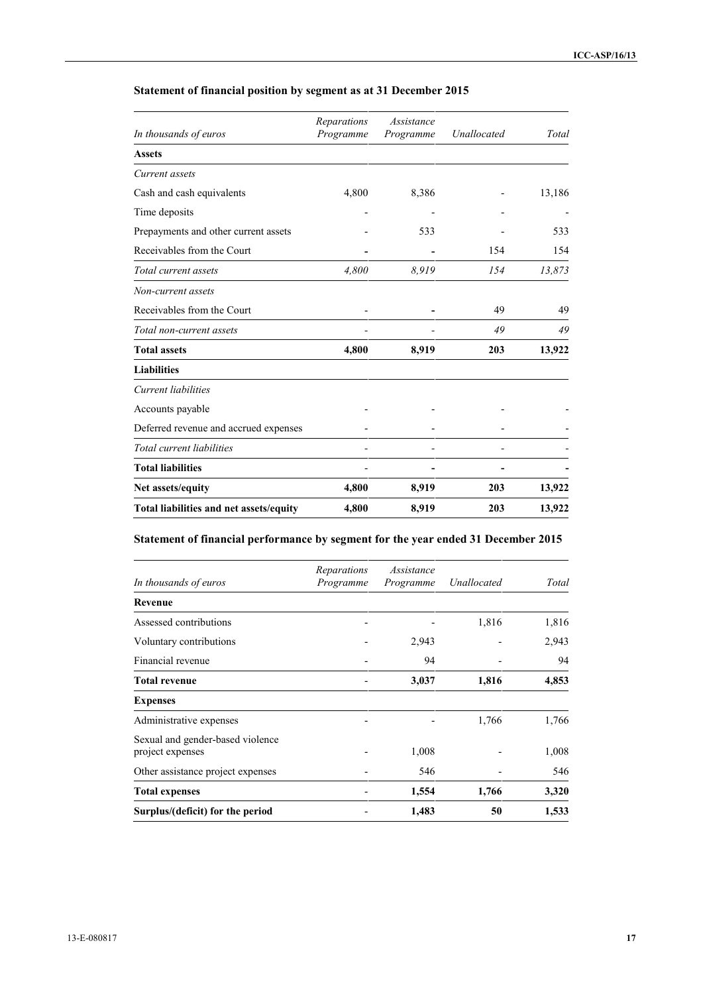| In thousands of euros                   | Reparations<br>Assistance<br>Programme<br>Programme |                | Unallocated | Total  |
|-----------------------------------------|-----------------------------------------------------|----------------|-------------|--------|
| <b>Assets</b>                           |                                                     |                |             |        |
| Current assets                          |                                                     |                |             |        |
| Cash and cash equivalents               | 4,800                                               | 8,386          |             | 13,186 |
| Time deposits                           |                                                     |                |             |        |
| Prepayments and other current assets    |                                                     | 533            |             | 533    |
| Receivables from the Court              |                                                     |                | 154         | 154    |
| Total current assets                    | 4,800                                               | 8,919          | 154         | 13,873 |
| Non-current assets                      |                                                     |                |             |        |
| Receivables from the Court              |                                                     |                | 49          | 49     |
| Total non-current assets                |                                                     |                | 49          | 49     |
| <b>Total assets</b>                     | 4,800                                               | 8,919          | 203         | 13,922 |
| <b>Liabilities</b>                      |                                                     |                |             |        |
| Current liabilities                     |                                                     |                |             |        |
| Accounts payable                        |                                                     |                |             |        |
| Deferred revenue and accrued expenses   |                                                     |                |             |        |
| Total current liabilities               |                                                     |                |             |        |
| <b>Total liabilities</b>                |                                                     | $\blacksquare$ |             |        |
| Net assets/equity                       | 4,800                                               | 8,919          | 203         | 13,922 |
| Total liabilities and net assets/equity | 4,800                                               | 8,919          | 203         | 13,922 |

## **Statement of financial position by segment as at 31 December 2015**

## **Statement of financial performance by segment for the year ended 31 December 2015**

| In thousands of euros                                | Reparations<br>Programme | Assistance<br>Programme | Unallocated | Total |
|------------------------------------------------------|--------------------------|-------------------------|-------------|-------|
| Revenue                                              |                          |                         |             |       |
| Assessed contributions                               |                          |                         | 1,816       | 1,816 |
| Voluntary contributions                              |                          | 2,943                   |             | 2,943 |
| Financial revenue                                    |                          | 94                      |             | 94    |
| <b>Total revenue</b>                                 |                          | 3,037                   | 1,816       | 4,853 |
| <b>Expenses</b>                                      |                          |                         |             |       |
| Administrative expenses                              |                          |                         | 1,766       | 1,766 |
| Sexual and gender-based violence<br>project expenses |                          | 1,008                   |             | 1,008 |
| Other assistance project expenses                    |                          | 546                     |             | 546   |
| <b>Total expenses</b>                                |                          | 1,554                   | 1,766       | 3,320 |
| Surplus/(deficit) for the period                     |                          | 1,483                   | 50          | 1,533 |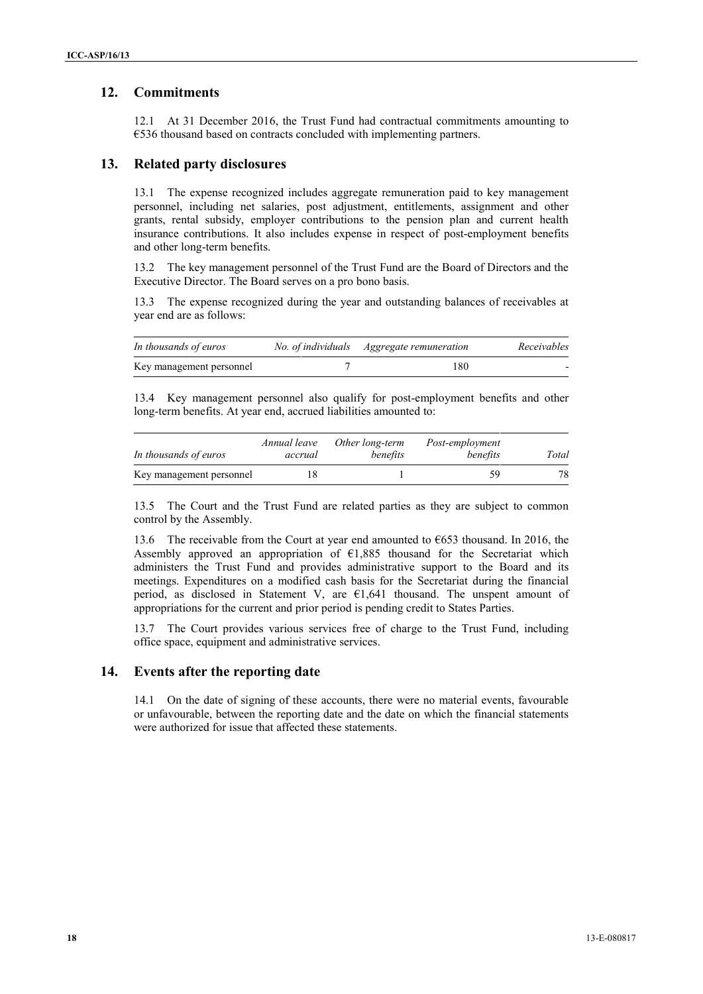### **12. Commitments**

12.1 At 31 December 2016, the Trust Fund had contractual commitments amounting to €536 thousand based on contracts concluded with implementing partners.

### **13. Related party disclosures**

13.1 The expense recognized includes aggregate remuneration paid to key management personnel, including net salaries, post adjustment, entitlements, assignment and other grants, rental subsidy, employer contributions to the pension plan and current health insurance contributions. It also includes expense in respect of post-employment benefits and other long-term benefits.

13.2 The key management personnel of the Trust Fund are the Board of Directors and the Executive Director. The Board serves on a pro bono basis.

13.3 The expense recognized during the year and outstanding balances of receivables at year end are as follows:

| In thousands of euros    | No. of individuals Aggregate remuneration | Receivables              |
|--------------------------|-------------------------------------------|--------------------------|
| Key management personnel | 180                                       | $\overline{\phantom{0}}$ |

13.4 Key management personnel also qualify for post-employment benefits and other long-term benefits. At year end, accrued liabilities amounted to:

| In thousands of euros    | Annual leave<br>accrual | Other long-term<br>benefits | Post-employment<br>benefits | Total |
|--------------------------|-------------------------|-----------------------------|-----------------------------|-------|
| Key management personnel |                         |                             |                             |       |

13.5 The Court and the Trust Fund are related parties as they are subject to common control by the Assembly.

13.6 The receivable from the Court at year end amounted to  $\epsilon$ 653 thousand. In 2016, the Assembly approved an appropriation of  $E1,885$  thousand for the Secretariat which administers the Trust Fund and provides administrative support to the Board and its meetings. Expenditures on a modified cash basis for the Secretariat during the financial period, as disclosed in Statement V, are  $E1,641$  thousand. The unspent amount of appropriations for the current and prior period is pending credit to States Parties.

13.7 The Court provides various services free of charge to the Trust Fund, including office space, equipment and administrative services.

#### **14. Events after the reporting date**

14.1 On the date of signing of these accounts, there were no material events, favourable or unfavourable, between the reporting date and the date on which the financial statements were authorized for issue that affected these statements.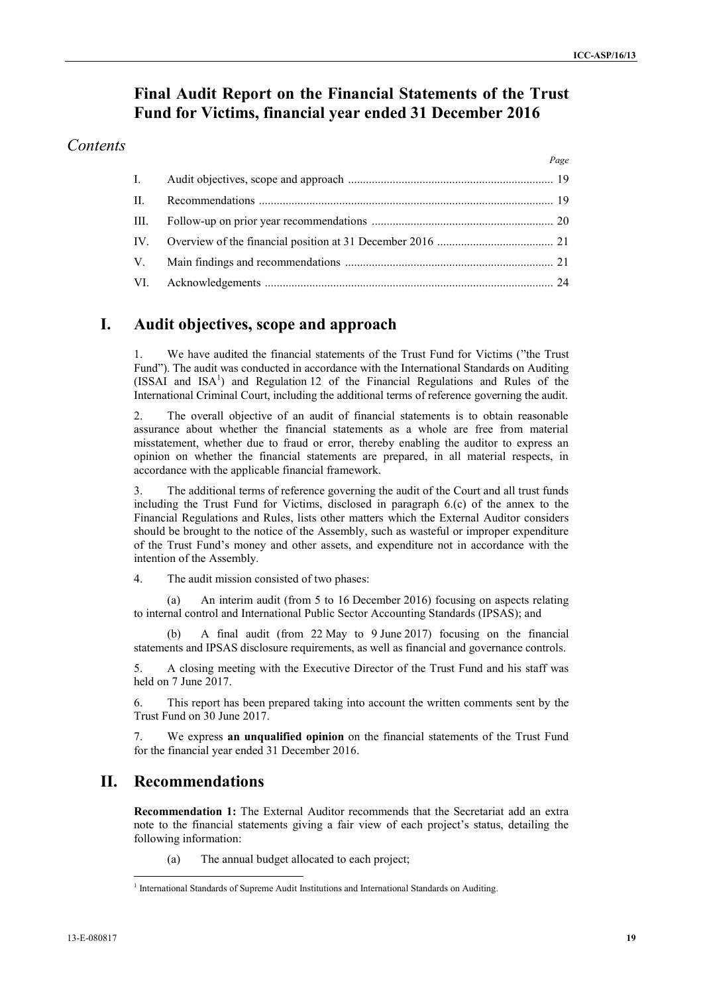*Page*

## **Final Audit Report on the Financial Statements of the Trust Fund for Victims, financial year ended 31 December 2016**

### *Contents*

| $\mathbf{I}$ . |  |
|----------------|--|
| $\Pi$ .        |  |
|                |  |
|                |  |
|                |  |
|                |  |

## **I. Audit objectives, scope and approach**

1. We have audited the financial statements of the Trust Fund for Victims ("the Trust Fund"). The audit was conducted in accordance with the International Standards on Auditing  $(ISSAI and ISA<sup>1</sup>)$  and Regulation 12 of the Financial Regulations and Rules of the International Criminal Court, including the additional terms of reference governing the audit.

2. The overall objective of an audit of financial statements is to obtain reasonable assurance about whether the financial statements as a whole are free from material misstatement, whether due to fraud or error, thereby enabling the auditor to express an opinion on whether the financial statements are prepared, in all material respects, in accordance with the applicable financial framework.

3. The additional terms of reference governing the audit of the Court and all trust funds including the Trust Fund for Victims, disclosed in paragraph 6.(c) of the annex to the Financial Regulations and Rules, lists other matters which the External Auditor considers should be brought to the notice of the Assembly, such as wasteful or improper expenditure of the Trust Fund's money and other assets, and expenditure not in accordance with the intention of the Assembly.

4. The audit mission consisted of two phases:

An interim audit (from 5 to 16 December 2016) focusing on aspects relating to internal control and International Public Sector Accounting Standards (IPSAS); and

(b) A final audit (from 22 May to 9 June 2017) focusing on the financial statements and IPSAS disclosure requirements, as well as financial and governance controls.

5. A closing meeting with the Executive Director of the Trust Fund and his staff was held on 7 June 2017.

6. This report has been prepared taking into account the written comments sent by the Trust Fund on 30 June 2017.

7. We express **an unqualified opinion** on the financial statements of the Trust Fund for the financial year ended 31 December 2016.

## **II. Recommendations**

**Recommendation 1:** The External Auditor recommends that the Secretariat add an extra note to the financial statements giving a fair view of each project's status, detailing the following information:

(a) The annual budget allocated to each project;

<sup>1</sup> International Standards of Supreme Audit Institutions and International Standards on Auditing.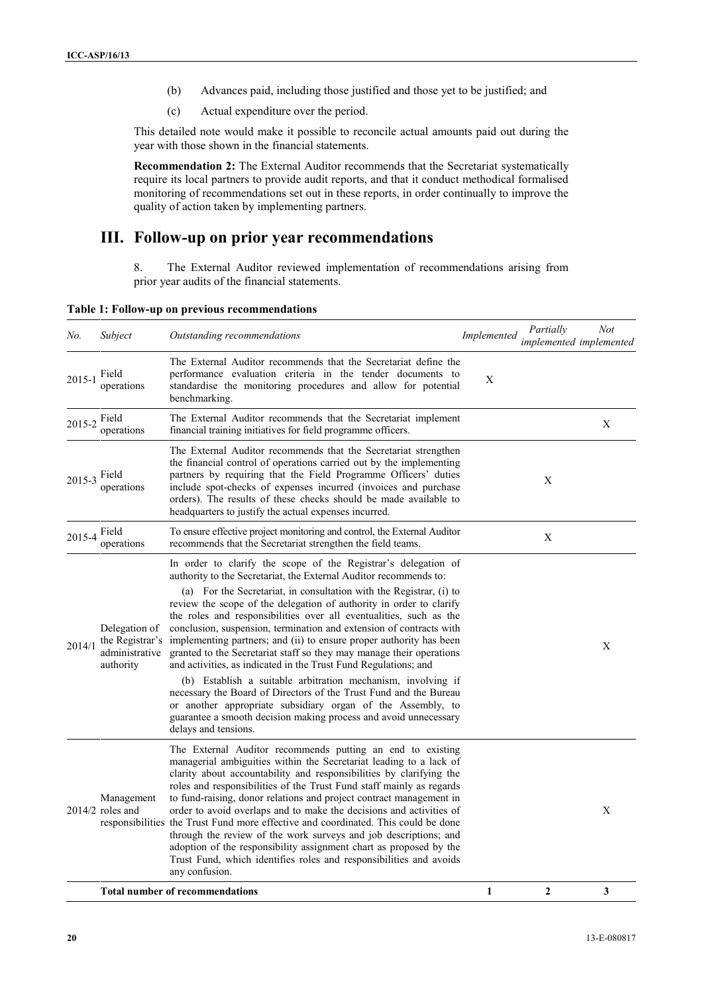- (b) Advances paid, including those justified and those yet to be justified; and
- (c) Actual expenditure over the period.

This detailed note would make it possible to reconcile actual amounts paid out during the year with those shown in the financial statements.

**Recommendation 2:** The External Auditor recommends that the Secretariat systematically require its local partners to provide audit reports, and that it conduct methodical formalised monitoring of recommendations set out in these reports, in order continually to improve the quality of action taken by implementing partners.

### **III. Follow-up on prior year recommendations**

8. The External Auditor reviewed implementation of recommendations arising from prior year audits of the financial statements.

**Table 1: Follow-up on previous recommendations**

| No.          | Subject                                                         | Outstanding recommendations                                                                                                                                                                                                                                                                                                                                                                                                                                                                                                                                                                                                                                                                                                                                                                                                                                                                                                                      | Implemented | Partially<br>implemented implemented | <b>Not</b> |
|--------------|-----------------------------------------------------------------|--------------------------------------------------------------------------------------------------------------------------------------------------------------------------------------------------------------------------------------------------------------------------------------------------------------------------------------------------------------------------------------------------------------------------------------------------------------------------------------------------------------------------------------------------------------------------------------------------------------------------------------------------------------------------------------------------------------------------------------------------------------------------------------------------------------------------------------------------------------------------------------------------------------------------------------------------|-------------|--------------------------------------|------------|
| $2015 - 1$   | Field<br>operations                                             | The External Auditor recommends that the Secretariat define the<br>performance evaluation criteria in the tender documents to<br>standardise the monitoring procedures and allow for potential<br>benchmarking.                                                                                                                                                                                                                                                                                                                                                                                                                                                                                                                                                                                                                                                                                                                                  | X           |                                      |            |
| 2015-2 Field | operations                                                      | The External Auditor recommends that the Secretariat implement<br>financial training initiatives for field programme officers.                                                                                                                                                                                                                                                                                                                                                                                                                                                                                                                                                                                                                                                                                                                                                                                                                   |             |                                      | X          |
| $2015 - 3$   | Field<br>operations                                             | The External Auditor recommends that the Secretariat strengthen<br>the financial control of operations carried out by the implementing<br>partners by requiring that the Field Programme Officers' duties<br>include spot-checks of expenses incurred (invoices and purchase<br>orders). The results of these checks should be made available to<br>headquarters to justify the actual expenses incurred.                                                                                                                                                                                                                                                                                                                                                                                                                                                                                                                                        |             | X                                    |            |
| 2015-4       | Field<br>operations                                             | To ensure effective project monitoring and control, the External Auditor<br>recommends that the Secretariat strengthen the field teams.                                                                                                                                                                                                                                                                                                                                                                                                                                                                                                                                                                                                                                                                                                                                                                                                          |             | $\mathbf X$                          |            |
| 2014/1       | Delegation of<br>the Registrar's<br>administrative<br>authority | In order to clarify the scope of the Registrar's delegation of<br>authority to the Secretariat, the External Auditor recommends to:<br>(a) For the Secretariat, in consultation with the Registrar, (i) to<br>review the scope of the delegation of authority in order to clarify<br>the roles and responsibilities over all eventualities, such as the<br>conclusion, suspension, termination and extension of contracts with<br>implementing partners; and (ii) to ensure proper authority has been<br>granted to the Secretariat staff so they may manage their operations<br>and activities, as indicated in the Trust Fund Regulations; and<br>(b) Establish a suitable arbitration mechanism, involving if<br>necessary the Board of Directors of the Trust Fund and the Bureau<br>or another appropriate subsidiary organ of the Assembly, to<br>guarantee a smooth decision making process and avoid unnecessary<br>delays and tensions. |             |                                      | X          |
|              | Management<br>$2014/2$ roles and                                | The External Auditor recommends putting an end to existing<br>managerial ambiguities within the Secretariat leading to a lack of<br>clarity about accountability and responsibilities by clarifying the<br>roles and responsibilities of the Trust Fund staff mainly as regards<br>to fund-raising, donor relations and project contract management in<br>order to avoid overlaps and to make the decisions and activities of<br>responsibilities the Trust Fund more effective and coordinated. This could be done<br>through the review of the work surveys and job descriptions; and<br>adoption of the responsibility assignment chart as proposed by the<br>Trust Fund, which identifies roles and responsibilities and avoids<br>any confusion.                                                                                                                                                                                            |             |                                      | X          |
|              |                                                                 | <b>Total number of recommendations</b>                                                                                                                                                                                                                                                                                                                                                                                                                                                                                                                                                                                                                                                                                                                                                                                                                                                                                                           | 1           | $\boldsymbol{2}$                     | 3          |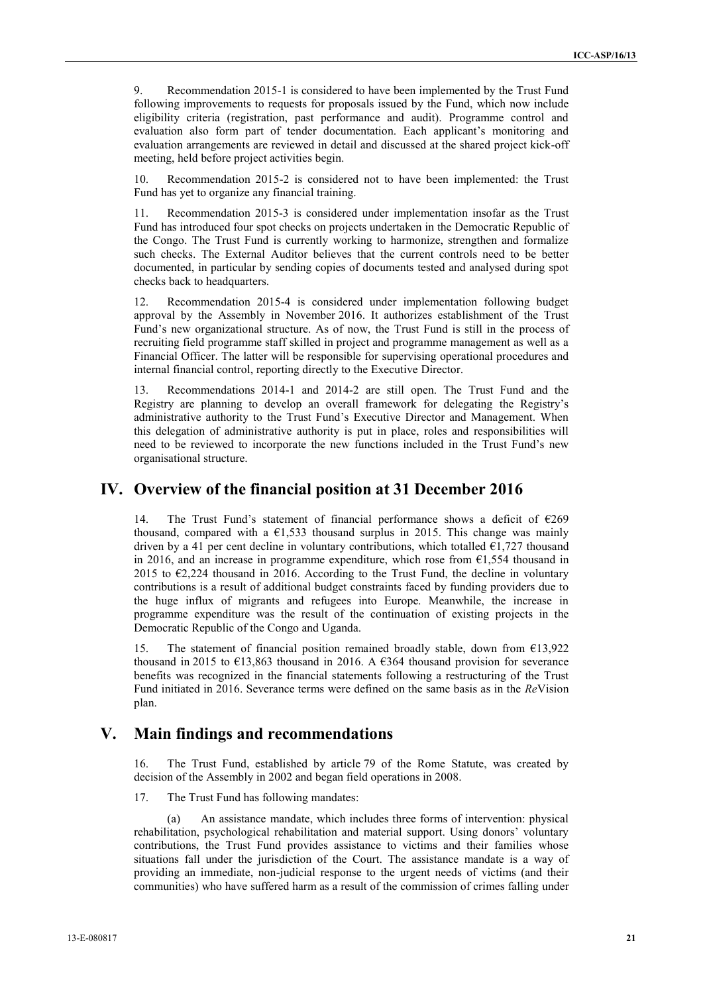9. Recommendation 2015-1 is considered to have been implemented by the Trust Fund following improvements to requests for proposals issued by the Fund, which now include eligibility criteria (registration, past performance and audit). Programme control and evaluation also form part of tender documentation. Each applicant's monitoring and evaluation arrangements are reviewed in detail and discussed at the shared project kick-off meeting, held before project activities begin.

10. Recommendation 2015-2 is considered not to have been implemented: the Trust Fund has yet to organize any financial training.

11. Recommendation 2015-3 is considered under implementation insofar as the Trust Fund has introduced four spot checks on projects undertaken in the Democratic Republic of the Congo. The Trust Fund is currently working to harmonize, strengthen and formalize such checks. The External Auditor believes that the current controls need to be better documented, in particular by sending copies of documents tested and analysed during spot checks back to headquarters.

12. Recommendation 2015-4 is considered under implementation following budget approval by the Assembly in November 2016. It authorizes establishment of the Trust Fund's new organizational structure. As of now, the Trust Fund is still in the process of recruiting field programme staff skilled in project and programme management as well as a Financial Officer. The latter will be responsible for supervising operational procedures and internal financial control, reporting directly to the Executive Director.

13. Recommendations 2014-1 and 2014-2 are still open. The Trust Fund and the Registry are planning to develop an overall framework for delegating the Registry's administrative authority to the Trust Fund's Executive Director and Management. When this delegation of administrative authority is put in place, roles and responsibilities will need to be reviewed to incorporate the new functions included in the Trust Fund's new organisational structure.

### **IV. Overview of the financial position at 31 December 2016**

14. The Trust Fund's statement of financial performance shows a deficit of €269 thousand, compared with a  $\epsilon$ 1,533 thousand surplus in 2015. This change was mainly driven by a 41 per cent decline in voluntary contributions, which totalled  $\epsilon$ 1,727 thousand in 2016, and an increase in programme expenditure, which rose from  $\epsilon$ 1,554 thousand in 2015 to  $\epsilon$ 2,224 thousand in 2016. According to the Trust Fund, the decline in voluntary contributions is a result of additional budget constraints faced by funding providers due to the huge influx of migrants and refugees into Europe. Meanwhile, the increase in programme expenditure was the result of the continuation of existing projects in the Democratic Republic of the Congo and Uganda.

The statement of financial position remained broadly stable, down from  $\epsilon$ 13,922 thousand in 2015 to  $\epsilon$ 13,863 thousand in 2016. A  $\epsilon$ 364 thousand provision for severance benefits was recognized in the financial statements following a restructuring of the Trust Fund initiated in 2016. Severance terms were defined on the same basis as in the *Re*Vision plan.

## **V. Main findings and recommendations**

16. The Trust Fund, established by article 79 of the Rome Statute, was created by decision of the Assembly in 2002 and began field operations in 2008.

17. The Trust Fund has following mandates:

An assistance mandate, which includes three forms of intervention: physical rehabilitation, psychological rehabilitation and material support. Using donors' voluntary contributions, the Trust Fund provides assistance to victims and their families whose situations fall under the jurisdiction of the Court. The assistance mandate is a way of providing an immediate, non-judicial response to the urgent needs of victims (and their communities) who have suffered harm as a result of the commission of crimes falling under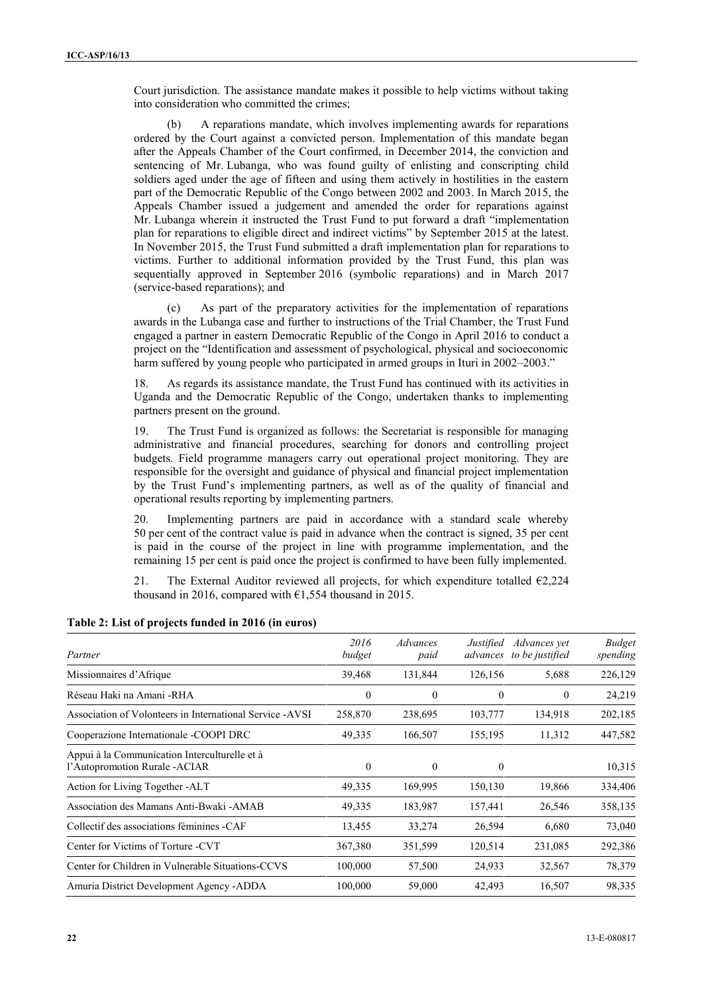Court jurisdiction. The assistance mandate makes it possible to help victims without taking into consideration who committed the crimes;

(b) A reparations mandate, which involves implementing awards for reparations ordered by the Court against a convicted person. Implementation of this mandate began after the Appeals Chamber of the Court confirmed, in December 2014, the conviction and sentencing of Mr. Lubanga, who was found guilty of enlisting and conscripting child soldiers aged under the age of fifteen and using them actively in hostilities in the eastern part of the Democratic Republic of the Congo between 2002 and 2003. In March 2015, the Appeals Chamber issued a judgement and amended the order for reparations against Mr. Lubanga wherein it instructed the Trust Fund to put forward a draft "implementation plan for reparations to eligible direct and indirect victims" by September 2015 at the latest. In November 2015, the Trust Fund submitted a draft implementation plan for reparations to victims. Further to additional information provided by the Trust Fund, this plan was sequentially approved in September 2016 (symbolic reparations) and in March 2017 (service-based reparations); and

(c) As part of the preparatory activities for the implementation of reparations awards in the Lubanga case and further to instructions of the Trial Chamber, the Trust Fund engaged a partner in eastern Democratic Republic of the Congo in April 2016 to conduct a project on the "Identification and assessment of psychological, physical and socioeconomic harm suffered by young people who participated in armed groups in Ituri in 2002–2003."

18. As regards its assistance mandate, the Trust Fund has continued with its activities in Uganda and the Democratic Republic of the Congo, undertaken thanks to implementing partners present on the ground.

19. The Trust Fund is organized as follows: the Secretariat is responsible for managing administrative and financial procedures, searching for donors and controlling project budgets. Field programme managers carry out operational project monitoring. They are responsible for the oversight and guidance of physical and financial project implementation by the Trust Fund's implementing partners, as well as of the quality of financial and operational results reporting by implementing partners.

20. Implementing partners are paid in accordance with a standard scale whereby 50 per cent of the contract value is paid in advance when the contract is signed, 35 per cent is paid in the course of the project in line with programme implementation, and the remaining 15 per cent is paid once the project is confirmed to have been fully implemented.

21. The External Auditor reviewed all projects, for which expenditure totalled  $\epsilon$ 2,224 thousand in 2016, compared with  $\epsilon$ 1,554 thousand in 2015.

| Partner                                                                        | 2016<br>budget | Advances<br>paid | Justified<br>advances | Advances yet<br>to be justified | <b>Budget</b><br>spending |
|--------------------------------------------------------------------------------|----------------|------------------|-----------------------|---------------------------------|---------------------------|
| Missionnaires d'Afrique                                                        | 39,468         | 131,844          | 126,156               | 5,688                           | 226,129                   |
| Réseau Haki na Amani -RHA                                                      | $\theta$       | $\theta$         | $\theta$              | $\mathbf{0}$                    | 24,219                    |
| Association of Volonteers in International Service -AVSI                       | 258,870        | 238,695          | 103,777               | 134,918                         | 202,185                   |
| Cooperazione Internationale - COOPI DRC                                        | 49,335         | 166,507          | 155,195               | 11,312                          | 447,582                   |
| Appui à la Communication Interculturelle et à<br>l'Autopromotion Rurale -ACIAR | $\mathbf{0}$   | $\mathbf{0}$     | $\theta$              |                                 | 10,315                    |
| Action for Living Together -ALT                                                | 49,335         | 169,995          | 150,130               | 19,866                          | 334,406                   |
| Association des Mamans Anti-Bwaki -AMAB                                        | 49,335         | 183,987          | 157,441               | 26,546                          | 358,135                   |
| Collectif des associations féminines -CAF                                      | 13,455         | 33,274           | 26,594                | 6,680                           | 73,040                    |
| Center for Victims of Torture -CVT                                             | 367,380        | 351,599          | 120,514               | 231,085                         | 292,386                   |
| Center for Children in Vulnerable Situations-CCVS                              | 100,000        | 57,500           | 24,933                | 32,567                          | 78,379                    |
| Amuria District Development Agency - ADDA                                      | 100,000        | 59,000           | 42,493                | 16,507                          | 98,335                    |

#### **Table 2: List of projects funded in 2016 (in euros)**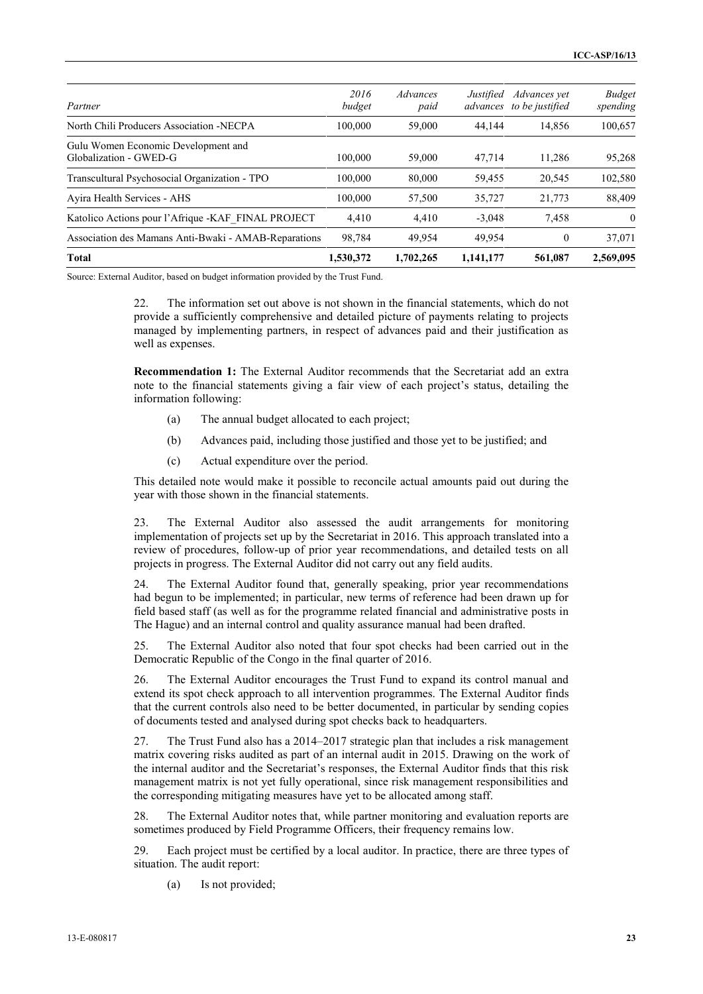| 1,530,372      | 1.702.265                                            | 1,141,177 | 561,087      | 2,569,095                 |
|----------------|------------------------------------------------------|-----------|--------------|---------------------------|
| 98.784         | 49.954                                               | 49.954    | $\theta$     | 37,071                    |
| 4,410          | 4,410                                                | $-3,048$  | 7.458        | $\theta$                  |
| 100,000        | 57,500                                               | 35,727    | 21,773       | 88,409                    |
| 100,000        | 80,000                                               | 59,455    | 20,545       | 102,580                   |
| 100,000        | 59,000                                               | 47,714    | 11.286       | 95,268                    |
| 100,000        | 59,000                                               | 44.144    | 14,856       | 100,657                   |
| 2016<br>budget | Advances<br>paid                                     | Justified | Advances vet | <b>Budget</b><br>spending |
|                | Association des Mamans Anti-Bwaki - AMAB-Reparations |           |              | advances to be justified  |

Source: External Auditor, based on budget information provided by the Trust Fund.

22. The information set out above is not shown in the financial statements, which do not provide a sufficiently comprehensive and detailed picture of payments relating to projects managed by implementing partners, in respect of advances paid and their justification as well as expenses.

**Recommendation 1:** The External Auditor recommends that the Secretariat add an extra note to the financial statements giving a fair view of each project's status, detailing the information following:

- (a) The annual budget allocated to each project;
- (b) Advances paid, including those justified and those yet to be justified; and
- (c) Actual expenditure over the period.

This detailed note would make it possible to reconcile actual amounts paid out during the year with those shown in the financial statements.

23. The External Auditor also assessed the audit arrangements for monitoring implementation of projects set up by the Secretariat in 2016. This approach translated into a review of procedures, follow-up of prior year recommendations, and detailed tests on all projects in progress. The External Auditor did not carry out any field audits.

24. The External Auditor found that, generally speaking, prior year recommendations had begun to be implemented; in particular, new terms of reference had been drawn up for field based staff (as well as for the programme related financial and administrative posts in The Hague) and an internal control and quality assurance manual had been drafted.

25. The External Auditor also noted that four spot checks had been carried out in the Democratic Republic of the Congo in the final quarter of 2016.

26. The External Auditor encourages the Trust Fund to expand its control manual and extend its spot check approach to all intervention programmes. The External Auditor finds that the current controls also need to be better documented, in particular by sending copies of documents tested and analysed during spot checks back to headquarters.

27. The Trust Fund also has a 2014–2017 strategic plan that includes a risk management matrix covering risks audited as part of an internal audit in 2015. Drawing on the work of the internal auditor and the Secretariat's responses, the External Auditor finds that this risk management matrix is not yet fully operational, since risk management responsibilities and the corresponding mitigating measures have yet to be allocated among staff.

28. The External Auditor notes that, while partner monitoring and evaluation reports are sometimes produced by Field Programme Officers, their frequency remains low.

29. Each project must be certified by a local auditor. In practice, there are three types of situation. The audit report:

(a) Is not provided;